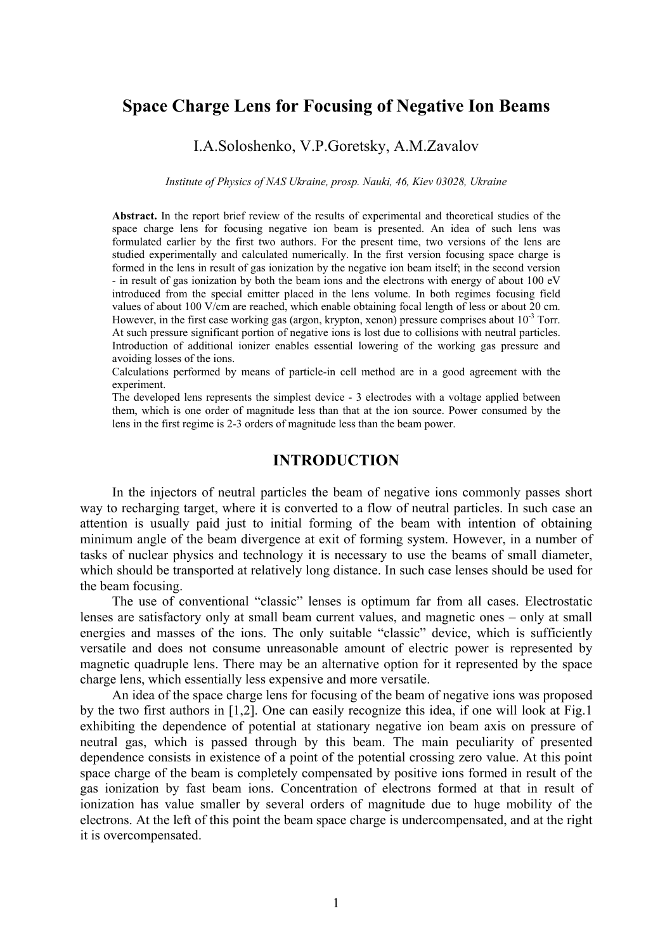# **Space Charge Lens for Focusing of Negative Ion Beams**

## I.A.Soloshenko, V.P.Goretsky, A.M.Zavalov

*Institute of Physics of NAS Ukraine, prosp. Nauki, 46, Kiev 03028, Ukraine*

**Abstract.** In the report brief review of the results of experimental and theoretical studies of the space charge lens for focusing negative ion beam is presented. An idea of such lens was formulated earlier by the first two authors. For the present time, two versions of the lens are studied experimentally and calculated numerically. In the first version focusing space charge is formed in the lens in result of gas ionization by the negative ion beam itself; in the second version - in result of gas ionization by both the beam ions and the electrons with energy of about 100 eV introduced from the special emitter placed in the lens volume. In both regimes focusing field values of about 100 V/cm are reached, which enable obtaining focal length of less or about 20 cm. However, in the first case working gas (argon, krypton, xenon) pressure comprises about  $10^{-3}$  Torr. At such pressure significant portion of negative ions is lost due to collisions with neutral particles. Introduction of additional ionizer enables essential lowering of the working gas pressure and avoiding losses of the ions.

Calculations performed by means of particle-in cell method are in a good agreement with the experiment.

The developed lens represents the simplest device - 3 electrodes with a voltage applied between them, which is one order of magnitude less than that at the ion source. Power consumed by the lens in the first regime is 2-3 orders of magnitude less than the beam power.

#### **INTRODUCTION**

In the injectors of neutral particles the beam of negative ions commonly passes short way to recharging target, where it is converted to a flow of neutral particles. In such case an attention is usually paid just to initial forming of the beam with intention of obtaining minimum angle of the beam divergence at exit of forming system. However, in a number of tasks of nuclear physics and technology it is necessary to use the beams of small diameter, which should be transported at relatively long distance. In such case lenses should be used for the beam focusing.

The use of conventional "classic" lenses is optimum far from all cases. Electrostatic lenses are satisfactory only at small beam current values, and magnetic ones – only at small energies and masses of the ions. The only suitable "classic" device, which is sufficiently versatile and does not consume unreasonable amount of electric power is represented by magnetic quadruple lens. There may be an alternative option for it represented by the space charge lens, which essentially less expensive and more versatile.

An idea of the space charge lens for focusing of the beam of negative ions was proposed by the two first authors in [1,2]. One can easily recognize this idea, if one will look at Fig.1 exhibiting the dependence of potential at stationary negative ion beam axis on pressure of neutral gas, which is passed through by this beam. The main peculiarity of presented dependence consists in existence of a point of the potential crossing zero value. At this point space charge of the beam is completely compensated by positive ions formed in result of the gas ionization by fast beam ions. Concentration of electrons formed at that in result of ionization has value smaller by several orders of magnitude due to huge mobility of the electrons. At the left of this point the beam space charge is undercompensated, and at the right it is overcompensated.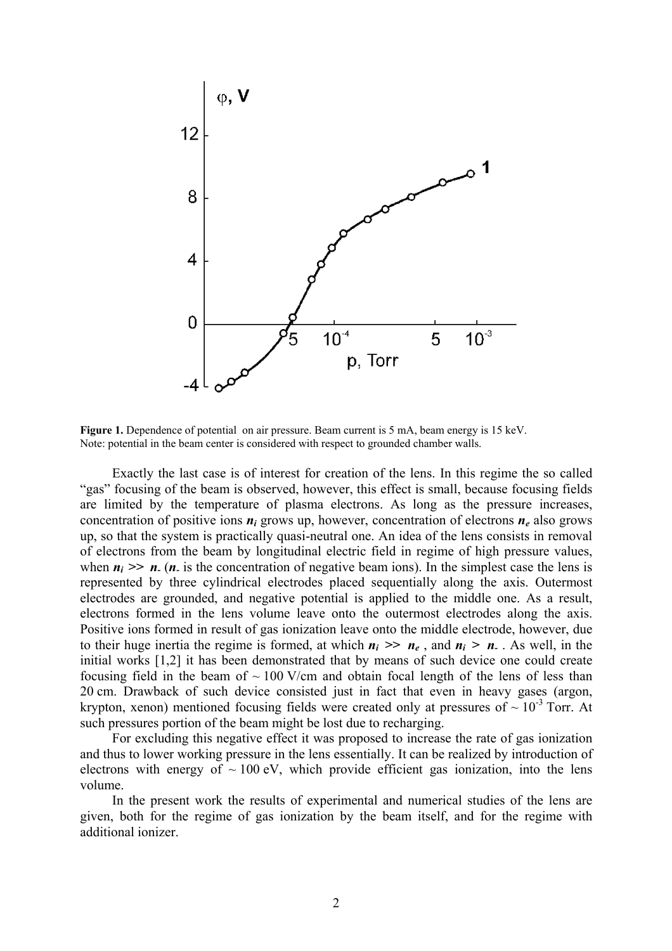

**Figure 1.** Dependence of potential on air pressure. Beam current is 5 mA, beam energy is 15 keV. Note: potential in the beam center is considered with respect to grounded chamber walls.

Exactly the last case is of interest for creation of the lens. In this regime the so called "gas" focusing of the beam is observed, however, this effect is small, because focusing fields are limited by the temperature of plasma electrons. As long as the pressure increases, concentration of positive ions *ni* grows up, however, concentration of electrons *ne* also grows up, so that the system is practically quasi-neutral one. An idea of the lens consists in removal of electrons from the beam by longitudinal electric field in regime of high pressure values, when  $n_i \gg n$ . (*n*, is the concentration of negative beam ions). In the simplest case the lens is represented by three cylindrical electrodes placed sequentially along the axis. Outermost electrodes are grounded, and negative potential is applied to the middle one. As a result, electrons formed in the lens volume leave onto the outermost electrodes along the axis. Positive ions formed in result of gas ionization leave onto the middle electrode, however, due to their huge inertia the regime is formed, at which  $n_i \gg n_e$ , and  $n_i > n$ . As well, in the initial works [1,2] it has been demonstrated that by means of such device one could create focusing field in the beam of  $\sim 100$  V/cm and obtain focal length of the lens of less than 20 cm. Drawback of such device consisted just in fact that even in heavy gases (argon, krypton, xenon) mentioned focusing fields were created only at pressures of  $\sim 10^{-3}$  Torr. At such pressures portion of the beam might be lost due to recharging.

For excluding this negative effect it was proposed to increase the rate of gas ionization and thus to lower working pressure in the lens essentially. It can be realized by introduction of electrons with energy of  $\sim 100$  eV, which provide efficient gas ionization, into the lens volume.

In the present work the results of experimental and numerical studies of the lens are given, both for the regime of gas ionization by the beam itself, and for the regime with additional ionizer.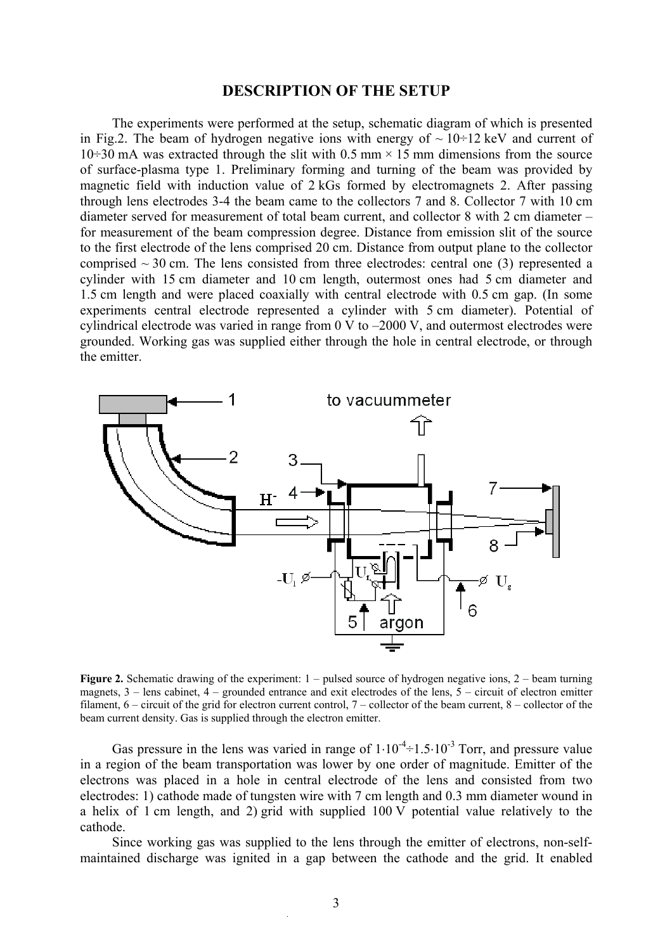#### **DESCRIPTION OF THE SETUP**

The experiments were performed at the setup, schematic diagram of which is presented in Fig.2. The beam of hydrogen negative ions with energy of  $\sim 10\div 12$  keV and current of 10 $\div$ 30 mA was extracted through the slit with 0.5 mm × 15 mm dimensions from the source of surface-plasma type 1. Preliminary forming and turning of the beam was provided by magnetic field with induction value of 2 kGs formed by electromagnets 2. After passing through lens electrodes 3-4 the beam came to the collectors 7 and 8. Collector 7 with 10 cm diameter served for measurement of total beam current, and collector 8 with 2 cm diameter – for measurement of the beam compression degree. Distance from emission slit of the source to the first electrode of the lens comprised 20 cm. Distance from output plane to the collector comprised  $\sim$  30 cm. The lens consisted from three electrodes: central one (3) represented a cylinder with 15 cm diameter and 10 cm length, outermost ones had 5 cm diameter and 1.5 cm length and were placed coaxially with central electrode with 0.5 cm gap. (In some experiments central electrode represented a cylinder with 5 cm diameter). Potential of cylindrical electrode was varied in range from 0 V to –2000 V, and outermost electrodes were grounded. Working gas was supplied either through the hole in central electrode, or through the emitter.



**Figure 2.** Schematic drawing of the experiment: 1 – pulsed source of hydrogen negative ions, 2 – beam turning magnets, 3 – lens cabinet, 4 – grounded entrance and exit electrodes of the lens, 5 – circuit of electron emitter filament, 6 – circuit of the grid for electron current control, 7 – collector of the beam current, 8 – collector of the beam current density. Gas is supplied through the electron emitter.

Gas pressure in the lens was varied in range of  $1 \cdot 10^{-4} \div 1.5 \cdot 10^{-3}$  Torr, and pressure value in a region of the beam transportation was lower by one order of magnitude. Emitter of the electrons was placed in a hole in central electrode of the lens and consisted from two electrodes: 1) cathode made of tungsten wire with 7 cm length and 0.3 mm diameter wound in a helix of 1 cm length, and 2) grid with supplied 100 V potential value relatively to the cathode.

Since working gas was supplied to the lens through the emitter of electrons, non-selfmaintained discharge was ignited in a gap between the cathode and the grid. It enabled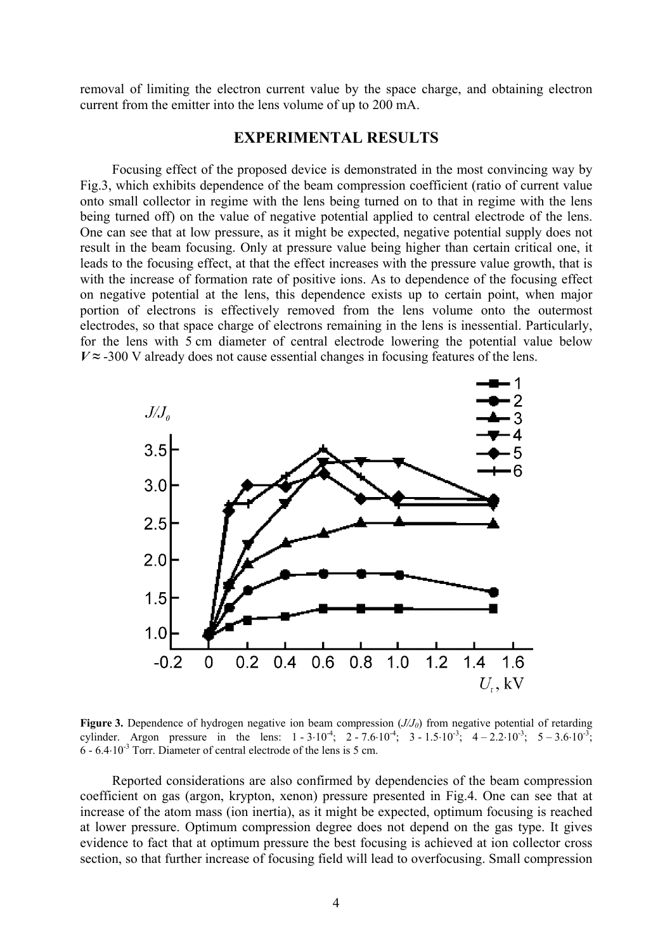removal of limiting the electron current value by the space charge, and obtaining electron current from the emitter into the lens volume of up to 200 mA.

## **EXPERIMENTAL RESULTS**

Focusing effect of the proposed device is demonstrated in the most convincing way by Fig.3, which exhibits dependence of the beam compression coefficient (ratio of current value onto small collector in regime with the lens being turned on to that in regime with the lens being turned off) on the value of negative potential applied to central electrode of the lens. One can see that at low pressure, as it might be expected, negative potential supply does not result in the beam focusing. Only at pressure value being higher than certain critical one, it leads to the focusing effect, at that the effect increases with the pressure value growth, that is with the increase of formation rate of positive ions. As to dependence of the focusing effect on negative potential at the lens, this dependence exists up to certain point, when major portion of electrons is effectively removed from the lens volume onto the outermost electrodes, so that space charge of electrons remaining in the lens is inessential. Particularly, for the lens with 5 cm diameter of central electrode lowering the potential value below  $V \approx$  -300 V already does not cause essential changes in focusing features of the lens.



**Figure 3.** Dependence of hydrogen negative ion beam compression  $(J/J_0)$  from negative potential of retarding cylinder. Argon pressure in the lens:  $1 - 3 \cdot 10^{-4}$ ;  $2 - 7.6 \cdot 10^{-4}$ ;  $3 - 1.5 \cdot 10^{-3}$ ;  $4 - 2.2 \cdot 10^{-3}$ ;  $5 - 3.6 \cdot 10^{-3}$ ;  $6 - 6.4 \cdot 10^{-3}$  Torr. Diameter of central electrode of the lens is 5 cm.

Reported considerations are also confirmed by dependencies of the beam compression coefficient on gas (argon, krypton, xenon) pressure presented in Fig.4. One can see that at increase of the atom mass (ion inertia), as it might be expected, optimum focusing is reached at lower pressure. Optimum compression degree does not depend on the gas type. It gives evidence to fact that at optimum pressure the best focusing is achieved at ion collector cross section, so that further increase of focusing field will lead to overfocusing. Small compression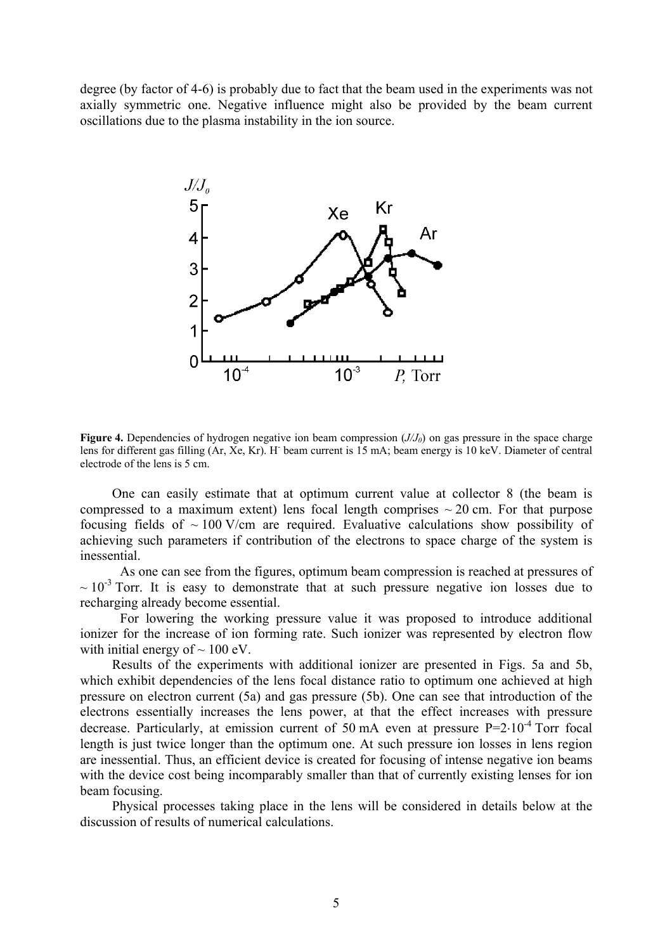degree (by factor of 4-6) is probably due to fact that the beam used in the experiments was not axially symmetric one. Negative influence might also be provided by the beam current oscillations due to the plasma instability in the ion source.



**Figure 4.** Dependencies of hydrogen negative ion beam compression (*J/J0*) on gas pressure in the space charge lens for different gas filling (Ar, Xe, Kr). H<sup>-</sup> beam current is 15 mA; beam energy is 10 keV. Diameter of central electrode of the lens is 5 cm.

One can easily estimate that at optimum current value at collector 8 (the beam is compressed to a maximum extent) lens focal length comprises  $\sim$  20 cm. For that purpose focusing fields of  $\sim 100$  V/cm are required. Evaluative calculations show possibility of achieving such parameters if contribution of the electrons to space charge of the system is inessential.

As one can see from the figures, optimum beam compression is reached at pressures of  $\sim 10^{-3}$  Torr. It is easy to demonstrate that at such pressure negative ion losses due to recharging already become essential.

For lowering the working pressure value it was proposed to introduce additional ionizer for the increase of ion forming rate. Such ionizer was represented by electron flow with initial energy of  $\sim 100$  eV.

Results of the experiments with additional ionizer are presented in Figs. 5a and 5b, which exhibit dependencies of the lens focal distance ratio to optimum one achieved at high pressure on electron current (5a) and gas pressure (5b). One can see that introduction of the electrons essentially increases the lens power, at that the effect increases with pressure decrease. Particularly, at emission current of 50 mA even at pressure  $P=2.10^{-4}$  Torr focal length is just twice longer than the optimum one. At such pressure ion losses in lens region are inessential. Thus, an efficient device is created for focusing of intense negative ion beams with the device cost being incomparably smaller than that of currently existing lenses for ion beam focusing.

Physical processes taking place in the lens will be considered in details below at the discussion of results of numerical calculations.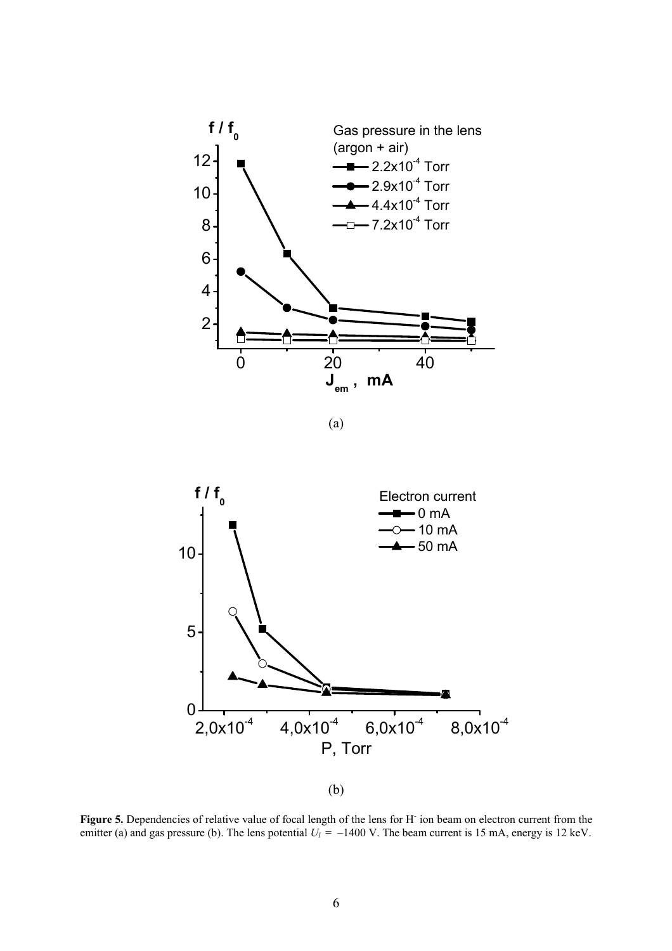

(a)



(b)

Figure 5. Dependencies of relative value of focal length of the lens for H<sup>-</sup> ion beam on electron current from the emitter (a) and gas pressure (b). The lens potential  $U_l = -1400$  V. The beam current is 15 mA, energy is 12 keV.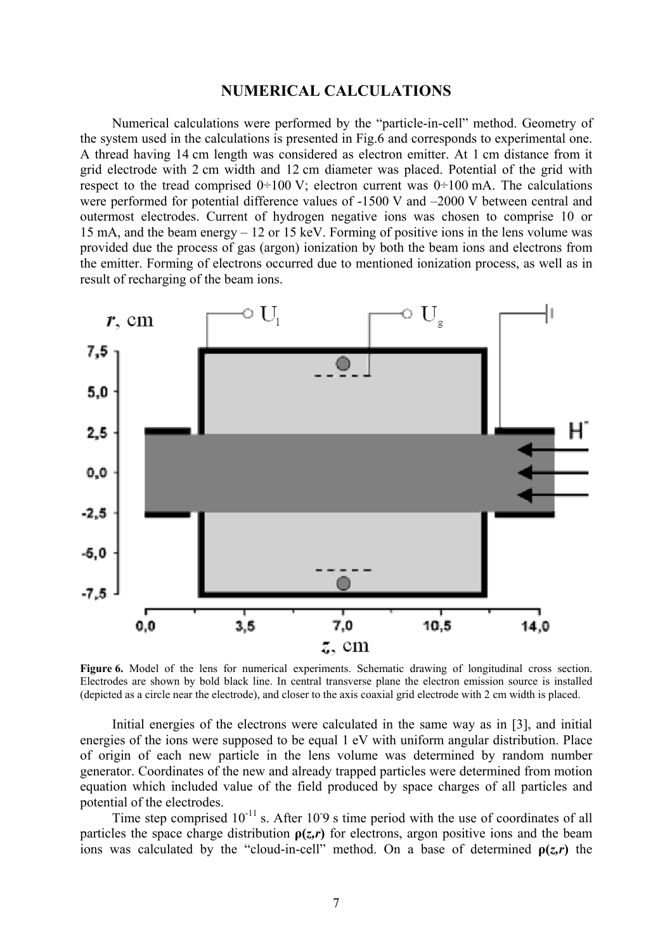#### **NUMERICAL CALCULATIONS**

Numerical calculations were performed by the "particle-in-cell" method. Geometry of the system used in the calculations is presented in Fig.6 and corresponds to experimental one. A thread having 14 cm length was considered as electron emitter. At 1 cm distance from it grid electrode with 2 cm width and 12 cm diameter was placed. Potential of the grid with respect to the tread comprised  $0\div 100$  V; electron current was  $0\div 100$  mA. The calculations were performed for potential difference values of -1500 V and –2000 V between central and outermost electrodes. Current of hydrogen negative ions was chosen to comprise 10 or 15 mA, and the beam energy – 12 or 15 keV. Forming of positive ions in the lens volume was provided due the process of gas (argon) ionization by both the beam ions and electrons from the emitter. Forming of electrons occurred due to mentioned ionization process, as well as in result of recharging of the beam ions.



Figure 6. Model of the lens for numerical experiments. Schematic drawing of longitudinal cross section. Electrodes are shown by bold black line. In central transverse plane the electron emission source is installed (depicted as a circle near the electrode), and closer to the axis coaxial grid electrode with 2 cm width is placed.

Initial energies of the electrons were calculated in the same way as in [3], and initial energies of the ions were supposed to be equal 1 eV with uniform angular distribution. Place of origin of each new particle in the lens volume was determined by random number generator. Coordinates of the new and already trapped particles were determined from motion equation which included value of the field produced by space charges of all particles and potential of the electrodes.

Time step comprised  $10^{-11}$  s. After 10.9 s time period with the use of coordinates of all particles the space charge distribution  $p(z,r)$  for electrons, argon positive ions and the beam ions was calculated by the "cloud-in-cell" method. On a base of determined  $p(z,r)$  the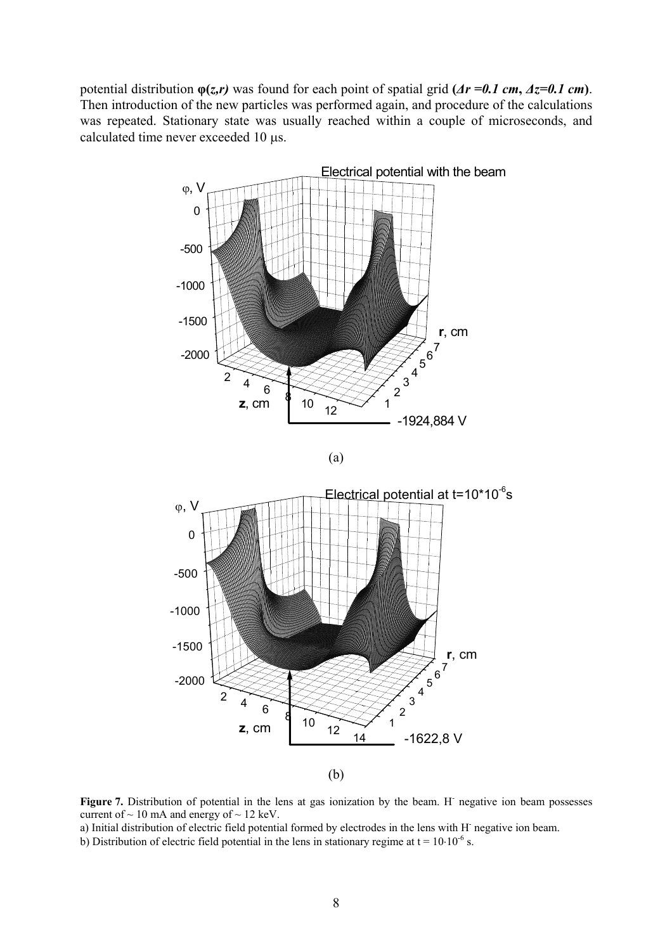potential distribution  $φ(z,r)$  was found for each point of spatial grid  $(Ar = 0.1 \text{ cm}, Az = 0.1 \text{ cm})$ . Then introduction of the new particles was performed again, and procedure of the calculations was repeated. Stationary state was usually reached within a couple of microseconds, and calculated time never exceeded 10 µs.



Figure 7. Distribution of potential in the lens at gas ionization by the beam. H<sup>-</sup> negative ion beam possesses current of  $\sim$  10 mA and energy of  $\sim$  12 keV.

a) Initial distribution of electric field potential formed by electrodes in the lens with H<sup>-</sup> negative ion beam.

b) Distribution of electric field potential in the lens in stationary regime at  $t = 10.10^{-6}$  s.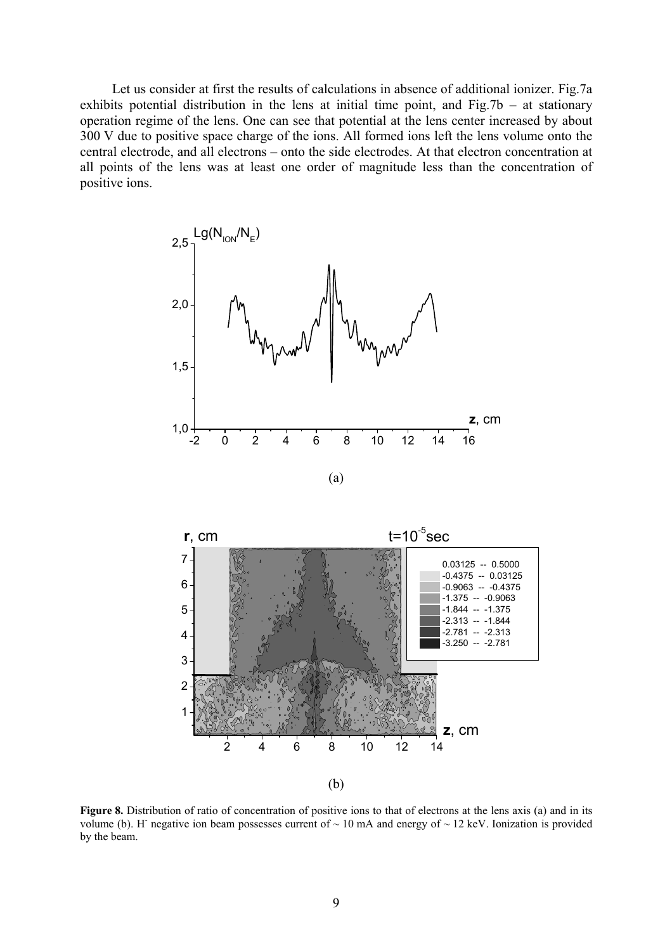Let us consider at first the results of calculations in absence of additional ionizer. Fig.7a exhibits potential distribution in the lens at initial time point, and Fig.7b – at stationary operation regime of the lens. One can see that potential at the lens center increased by about 300 V due to positive space charge of the ions. All formed ions left the lens volume onto the central electrode, and all electrons – onto the side electrodes. At that electron concentration at all points of the lens was at least one order of magnitude less than the concentration of positive ions.





**Figure 8.** Distribution of ratio of concentration of positive ions to that of electrons at the lens axis (a) and in its volume (b). H negative ion beam possesses current of  $\sim 10$  mA and energy of  $\sim 12$  keV. Ionization is provided by the beam.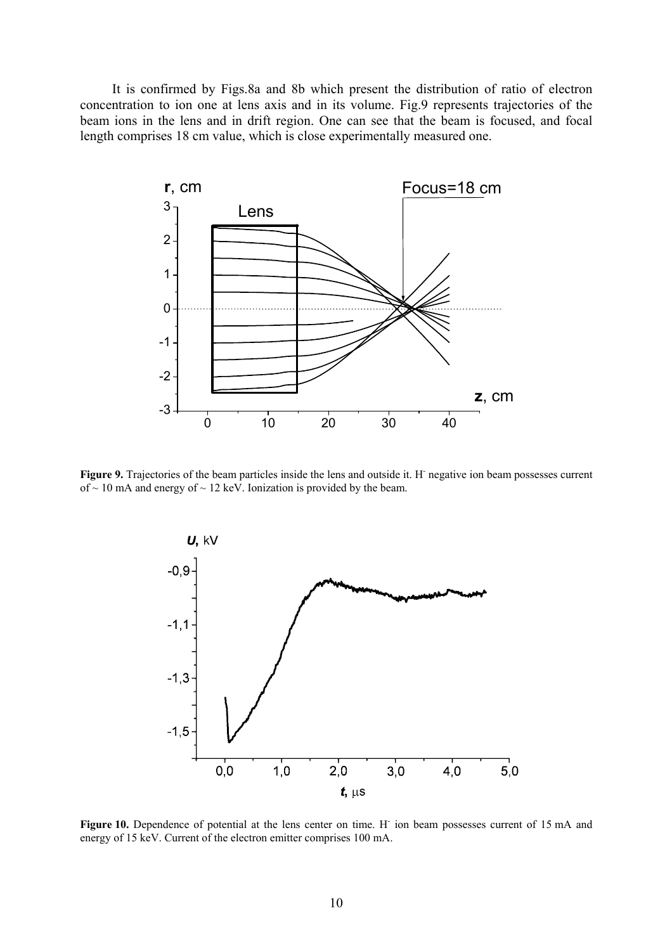It is confirmed by Figs.8a and 8b which present the distribution of ratio of electron concentration to ion one at lens axis and in its volume. Fig.9 represents trajectories of the beam ions in the lens and in drift region. One can see that the beam is focused, and focal length comprises 18 cm value, which is close experimentally measured one.



Figure 9. Trajectories of the beam particles inside the lens and outside it. H<sup>-</sup> negative ion beam possesses current of  $\sim$  10 mA and energy of  $\sim$  12 keV. Ionization is provided by the beam.



Figure 10. Dependence of potential at the lens center on time. H<sup>-</sup> ion beam possesses current of 15 mA and energy of 15 keV. Current of the electron emitter comprises 100 mA.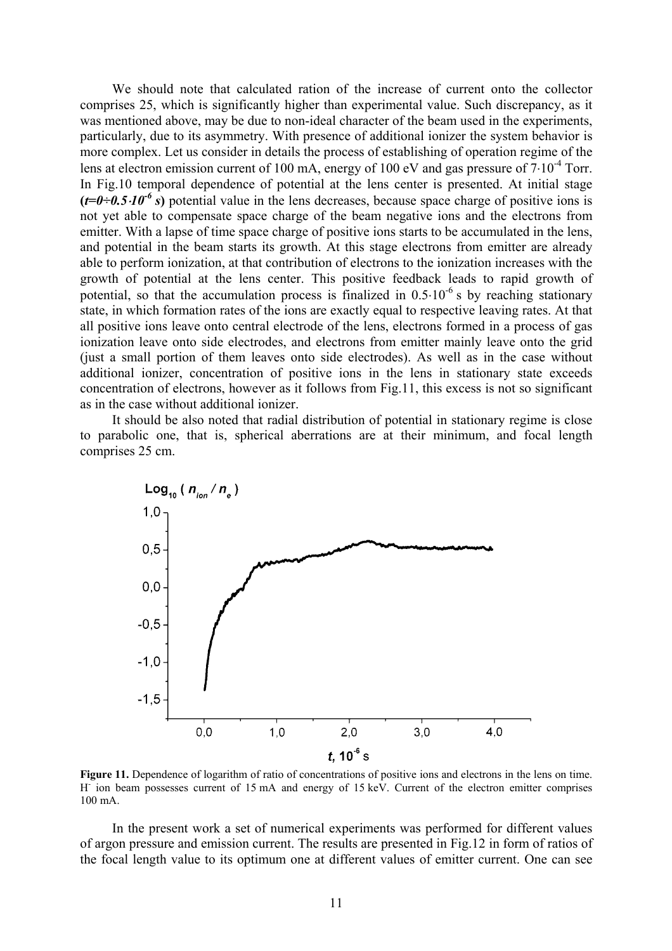We should note that calculated ration of the increase of current onto the collector comprises 25, which is significantly higher than experimental value. Such discrepancy, as it was mentioned above, may be due to non-ideal character of the beam used in the experiments, particularly, due to its asymmetry. With presence of additional ionizer the system behavior is more complex. Let us consider in details the process of establishing of operation regime of the lens at electron emission current of 100 mA, energy of 100 eV and gas pressure of 7⋅10-4 Torr. In Fig.10 temporal dependence of potential at the lens center is presented. At initial stage  $(t=0.5.10^{-6} s)$  potential value in the lens decreases, because space charge of positive ions is not yet able to compensate space charge of the beam negative ions and the electrons from emitter. With a lapse of time space charge of positive ions starts to be accumulated in the lens, and potential in the beam starts its growth. At this stage electrons from emitter are already able to perform ionization, at that contribution of electrons to the ionization increases with the growth of potential at the lens center. This positive feedback leads to rapid growth of potential, so that the accumulation process is finalized in  $0.5 \cdot 10^{-6}$  s by reaching stationary state, in which formation rates of the ions are exactly equal to respective leaving rates. At that all positive ions leave onto central electrode of the lens, electrons formed in a process of gas ionization leave onto side electrodes, and electrons from emitter mainly leave onto the grid (just a small portion of them leaves onto side electrodes). As well as in the case without additional ionizer, concentration of positive ions in the lens in stationary state exceeds concentration of electrons, however as it follows from Fig.11, this excess is not so significant as in the case without additional ionizer.

It should be also noted that radial distribution of potential in stationary regime is close to parabolic one, that is, spherical aberrations are at their minimum, and focal length comprises 25 cm.



**Figure 11.** Dependence of logarithm of ratio of concentrations of positive ions and electrons in the lens on time. H<sup>-</sup> ion beam possesses current of 15 mA and energy of 15 keV. Current of the electron emitter comprises 100 mA.

In the present work a set of numerical experiments was performed for different values of argon pressure and emission current. The results are presented in Fig.12 in form of ratios of the focal length value to its optimum one at different values of emitter current. One can see